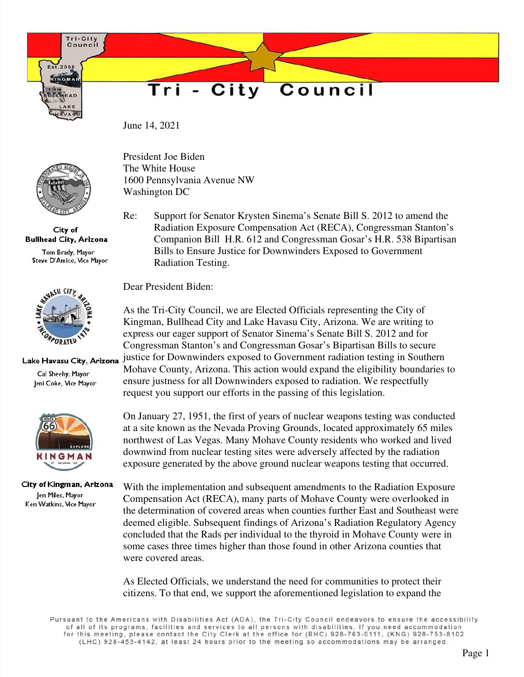Tri-City Council

 $1.2008$ INGMA

## Council Tri - City

June 14, 2021



City of **Bullhead City, Arizona** 

Tom Brady, Mayor Steve D'Amico, Vice Mayor



## Lake Havasu City, Arizona

Cal Sheehy, Mayor Jeni Coke, Vice Mayor



City of Kingman, Arizona Jen Miles, Mayor Ken Watkins, Vice Mayor

President Joe Biden The White House 1600 Pennsylvania Avenue NW Washington DC

Re: Support for Senator Krysten Sinema's Senate Bill S. 2012 to amend the Radiation Exposure Compensation Act (RECA), Congressman Stanton's Companion Bill H.R. 612 and Congressman Gosar's H.R. 538 Bipartisan Bills to Ensure Justice for Downwinders Exposed to Government Radiation Testing.

Dear President Biden:

As the Tri-City Council, we are Elected Officials representing the City of Kingman, Bullhead City and Lake Havasu City, Arizona. We are writing to express our eager support of Senator Sinema's Senate Bill S. 2012 and for Congressman Stanton's and Congressman Gosar's Bipartisan Bills to secure justice for Downwinders exposed to Government radiation testing in Southern Mohave County, Arizona. This action would expand the eligibility boundaries to ensure justness for all Downwinders exposed to radiation. We respectfully request you support our efforts in the passing of this legislation.

On January 27, 1951, the first of years of nuclear weapons testing was conducted at a site known as the Nevada Proving Grounds, located approximately 65 miles northwest of Las Vegas. Many Mohave County residents who worked and lived downwind from nuclear testing sites were adversely affected by the radiation exposure generated by the above ground nuclear weapons testing that occurred.

With the implementation and subsequent amendments to the Radiation Exposure Compensation Act (RECA), many parts of Mohave County were overlooked in the determination of covered areas when counties further East and Southeast were deemed eligible. Subsequent findings of Arizona's Radiation Regulatory Agency concluded that the Rads per individual to the thyroid in Mohave County were in some cases three times higher than those found in other Arizona counties that were covered areas.

As Elected Officials, we understand the need for communities to protect their citizens. To that end, we support the aforementioned legislation to expand the

Pursuant to the Americans with Disabilities Act (ADA), the Tri-City Council endeavors to ensure the accessibility of all of its programs, facilities and services to all persons with disabilities. If you need accommodation for this meeting, please contact the City Clerk at the office for (BHC) 928-763-0111, (KNG) 928-753-8102 (LHC) 928-453-4142, at least 24 hours prior to the meeting so accommodations may be arranged.